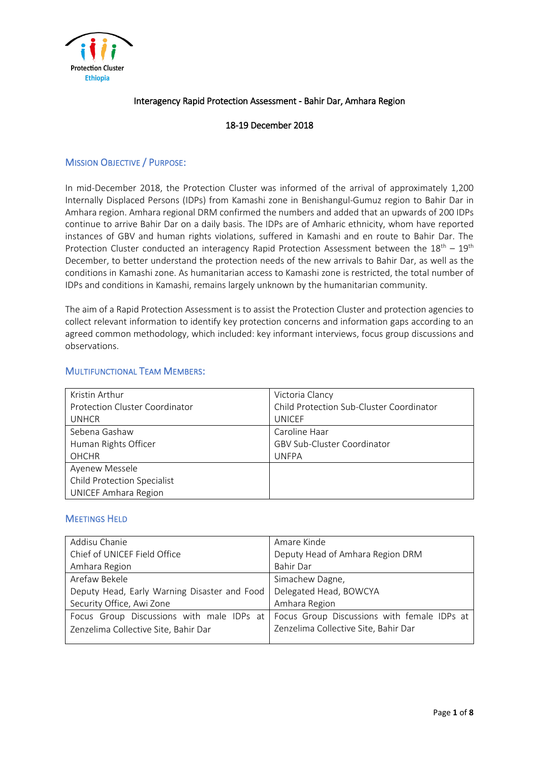

# Interagency Rapid Protection Assessment - Bahir Dar, Amhara Region

# 18-19 December 2018

# MISSION OBJECTIVE / PURPOSE:

In mid-December 2018, the Protection Cluster was informed of the arrival of approximately 1,200 Internally Displaced Persons (IDPs) from Kamashi zone in Benishangul-Gumuz region to Bahir Dar in Amhara region. Amhara regional DRM confirmed the numbers and added that an upwards of 200 IDPs continue to arrive Bahir Dar on a daily basis. The IDPs are of Amharic ethnicity, whom have reported instances of GBV and human rights violations, suffered in Kamashi and en route to Bahir Dar. The Protection Cluster conducted an interagency Rapid Protection Assessment between the  $18<sup>th</sup> - 19<sup>th</sup>$ December, to better understand the protection needs of the new arrivals to Bahir Dar, as well as the conditions in Kamashi zone. As humanitarian access to Kamashi zone is restricted, the total number of IDPs and conditions in Kamashi, remains largely unknown by the humanitarian community.

The aim of a Rapid Protection Assessment is to assist the Protection Cluster and protection agencies to collect relevant information to identify key protection concerns and information gaps according to an agreed common methodology, which included: key informant interviews, focus group discussions and observations.

# MULTIFUNCTIONAL TEAM MEMBERS:

| Kristin Arthur                     | Victoria Clancy                          |
|------------------------------------|------------------------------------------|
| Protection Cluster Coordinator     | Child Protection Sub-Cluster Coordinator |
| <b>UNHCR</b>                       | <b>UNICEF</b>                            |
| Sebena Gashaw                      | Caroline Haar                            |
| Human Rights Officer               | <b>GBV Sub-Cluster Coordinator</b>       |
| <b>OHCHR</b>                       | <b>UNFPA</b>                             |
| Ayenew Messele                     |                                          |
| <b>Child Protection Specialist</b> |                                          |
| <b>UNICEF Amhara Region</b>        |                                          |

### MEETINGS HELD

| Addisu Chanie                                | Amare Kinde                                 |
|----------------------------------------------|---------------------------------------------|
| Chief of UNICEF Field Office                 | Deputy Head of Amhara Region DRM            |
| Amhara Region                                | Bahir Dar                                   |
| Arefaw Bekele                                | Simachew Dagne,                             |
| Deputy Head, Early Warning Disaster and Food | Delegated Head, BOWCYA                      |
| Security Office, Awi Zone                    | Amhara Region                               |
| Focus Group Discussions with male IDPs at    | Focus Group Discussions with female IDPs at |
| Zenzelima Collective Site, Bahir Dar         | Zenzelima Collective Site, Bahir Dar        |
|                                              |                                             |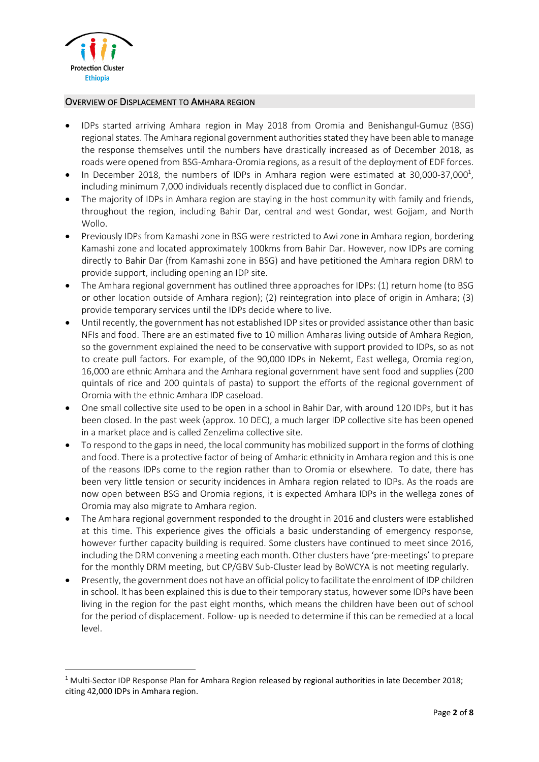

**.** 

#### OVERVIEW OF DISPLACEMENT TO AMHARA REGION

- IDPs started arriving Amhara region in May 2018 from Oromia and Benishangul-Gumuz (BSG) regional states. The Amhara regional government authorities stated they have been able to manage the response themselves until the numbers have drastically increased as of December 2018, as roads were opened from BSG-Amhara-Oromia regions, as a result of the deployment of EDF forces.
- $\bullet$  In December 2018, the numbers of IDPs in Amhara region were estimated at 30,000-37,000<sup>1</sup>, including minimum 7,000 individuals recently displaced due to conflict in Gondar.
- The majority of IDPs in Amhara region are staying in the host community with family and friends, throughout the region, including Bahir Dar, central and west Gondar, west Gojjam, and North Wollo.
- Previously IDPs from Kamashi zone in BSG were restricted to Awi zone in Amhara region, bordering Kamashi zone and located approximately 100kms from Bahir Dar. However, now IDPs are coming directly to Bahir Dar (from Kamashi zone in BSG) and have petitioned the Amhara region DRM to provide support, including opening an IDP site.
- The Amhara regional government has outlined three approaches for IDPs: (1) return home (to BSG or other location outside of Amhara region); (2) reintegration into place of origin in Amhara; (3) provide temporary services until the IDPs decide where to live.
- Until recently, the government has not established IDP sites or provided assistance other than basic NFIs and food. There are an estimated five to 10 million Amharas living outside of Amhara Region, so the government explained the need to be conservative with support provided to IDPs, so as not to create pull factors. For example, of the 90,000 IDPs in Nekemt, East wellega, Oromia region, 16,000 are ethnic Amhara and the Amhara regional government have sent food and supplies (200 quintals of rice and 200 quintals of pasta) to support the efforts of the regional government of Oromia with the ethnic Amhara IDP caseload.
- One small collective site used to be open in a school in Bahir Dar, with around 120 IDPs, but it has been closed. In the past week (approx. 10 DEC), a much larger IDP collective site has been opened in a market place and is called Zenzelima collective site.
- To respond to the gaps in need, the local community has mobilized support in the forms of clothing and food. There is a protective factor of being of Amharic ethnicity in Amhara region and this is one of the reasons IDPs come to the region rather than to Oromia or elsewhere. To date, there has been very little tension or security incidences in Amhara region related to IDPs. As the roads are now open between BSG and Oromia regions, it is expected Amhara IDPs in the wellega zones of Oromia may also migrate to Amhara region.
- The Amhara regional government responded to the drought in 2016 and clusters were established at this time. This experience gives the officials a basic understanding of emergency response, however further capacity building is required. Some clusters have continued to meet since 2016, including the DRM convening a meeting each month. Other clusters have 'pre-meetings' to prepare for the monthly DRM meeting, but CP/GBV Sub-Cluster lead by BoWCYA is not meeting regularly.
- Presently, the government does not have an official policy to facilitate the enrolment of IDP children in school. It has been explained this is due to their temporary status, however some IDPs have been living in the region for the past eight months, which means the children have been out of school for the period of displacement. Follow- up is needed to determine if this can be remedied at a local level.

<sup>&</sup>lt;sup>1</sup> Multi-Sector IDP Response Plan for Amhara Region released by regional authorities in late December 2018; citing 42,000 IDPs in Amhara region.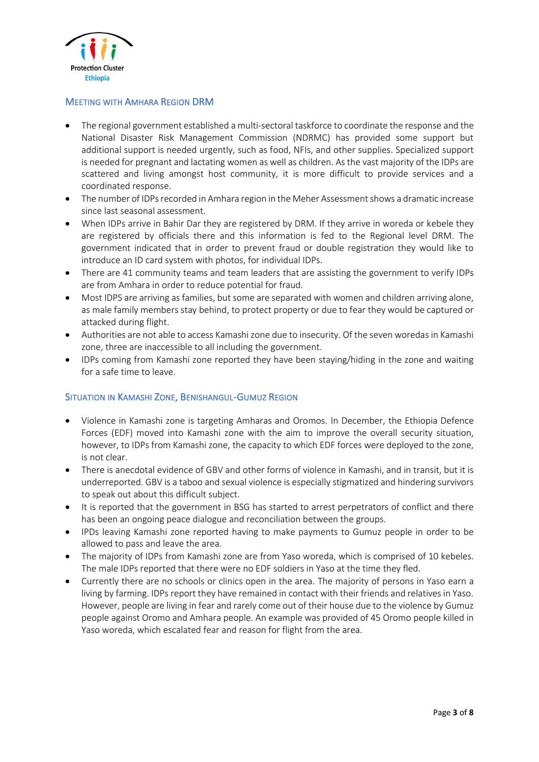

# MEETING WITH AMHARA REGION DRM

- The regional government established a multi-sectoral taskforce to coordinate the response and the National Disaster Risk Management Commission (NDRMC) has provided some support but additional support is needed urgently, such as food, NFIs, and other supplies. Specialized support is needed for pregnant and lactating women as well as children. As the vast majority of the IDPs are scattered and living amongst host community, it is more difficult to provide services and a coordinated response.
- The number of IDPs recorded in Amhara region in the Meher Assessment shows a dramatic increase since last seasonal assessment.
- When IDPs arrive in Bahir Dar they are registered by DRM. If they arrive in woreda or kebele they are registered by officials there and this information is fed to the Regional level DRM. The government indicated that in order to prevent fraud or double registration they would like to introduce an ID card system with photos, for individual IDPs.
- There are 41 community teams and team leaders that are assisting the government to verify IDPs are from Amhara in order to reduce potential for fraud.
- Most IDPS are arriving as families, but some are separated with women and children arriving alone, as male family members stay behind, to protect property or due to fear they would be captured or attacked during flight.
- Authorities are not able to access Kamashi zone due to insecurity. Of the seven woredas in Kamashi zone, three are inaccessible to all including the government.
- IDPs coming from Kamashi zone reported they have been staying/hiding in the zone and waiting for a safe time to leave.

### SITUATION IN KAMASHI ZONE, BENISHANGUL-GUMUZ REGION

- Violence in Kamashi zone is targeting Amharas and Oromos. In December, the Ethiopia Defence Forces (EDF) moved into Kamashi zone with the aim to improve the overall security situation, however, to IDPs from Kamashi zone, the capacity to which EDF forces were deployed to the zone, is not clear.
- There is anecdotal evidence of GBV and other forms of violence in Kamashi, and in transit, but it is underreported. GBV is a taboo and sexual violence is especially stigmatized and hindering survivors to speak out about this difficult subject.
- It is reported that the government in BSG has started to arrest perpetrators of conflict and there has been an ongoing peace dialogue and reconciliation between the groups.
- IPDs leaving Kamashi zone reported having to make payments to Gumuz people in order to be allowed to pass and leave the area.
- The majority of IDPs from Kamashi zone are from Yaso woreda, which is comprised of 10 kebeles. The male IDPs reported that there were no EDF soldiers in Yaso at the time they fled.
- Currently there are no schools or clinics open in the area. The majority of persons in Yaso earn a living by farming. IDPs report they have remained in contact with their friends and relatives in Yaso. However, people are living in fear and rarely come out of their house due to the violence by Gumuz people against Oromo and Amhara people. An example was provided of 45 Oromo people killed in Yaso woreda, which escalated fear and reason for flight from the area.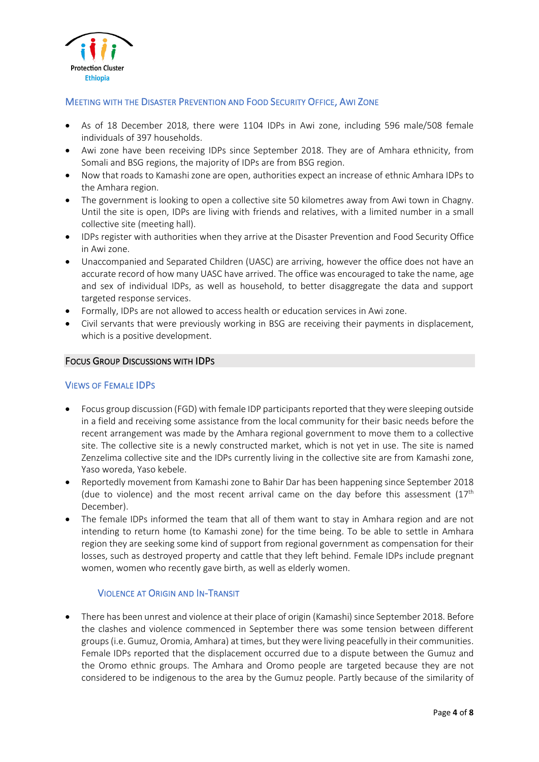

# MEETING WITH THE DISASTER PREVENTION AND FOOD SECURITY OFFICE, AWI ZONE

- As of 18 December 2018, there were 1104 IDPs in Awi zone, including 596 male/508 female individuals of 397 households.
- Awi zone have been receiving IDPs since September 2018. They are of Amhara ethnicity, from Somali and BSG regions, the majority of IDPs are from BSG region.
- Now that roads to Kamashi zone are open, authorities expect an increase of ethnic Amhara IDPs to the Amhara region.
- The government is looking to open a collective site 50 kilometres away from Awi town in Chagny. Until the site is open, IDPs are living with friends and relatives, with a limited number in a small collective site (meeting hall).
- IDPs register with authorities when they arrive at the Disaster Prevention and Food Security Office in Awi zone.
- Unaccompanied and Separated Children (UASC) are arriving, however the office does not have an accurate record of how many UASC have arrived. The office was encouraged to take the name, age and sex of individual IDPs, as well as household, to better disaggregate the data and support targeted response services.
- Formally, IDPs are not allowed to access health or education services in Awi zone.
- Civil servants that were previously working in BSG are receiving their payments in displacement, which is a positive development.

### FOCUS GROUP DISCUSSIONS WITH IDPS

### VIEWS OF FEMALE IDPS

- Focus group discussion (FGD) with female IDP participants reported that they were sleeping outside in a field and receiving some assistance from the local community for their basic needs before the recent arrangement was made by the Amhara regional government to move them to a collective site. The collective site is a newly constructed market, which is not yet in use. The site is named Zenzelima collective site and the IDPs currently living in the collective site are from Kamashi zone, Yaso woreda, Yaso kebele.
- Reportedly movement from Kamashi zone to Bahir Dar has been happening since September 2018 (due to violence) and the most recent arrival came on the day before this assessment  $(17<sup>th</sup>)$ December).
- The female IDPs informed the team that all of them want to stay in Amhara region and are not intending to return home (to Kamashi zone) for the time being. To be able to settle in Amhara region they are seeking some kind of support from regional government as compensation for their losses, such as destroyed property and cattle that they left behind. Female IDPs include pregnant women, women who recently gave birth, as well as elderly women.

# VIOLENCE AT ORIGIN AND IN-TRANSIT

There has been unrest and violence at their place of origin (Kamashi) since September 2018. Before the clashes and violence commenced in September there was some tension between different groups (i.e. Gumuz, Oromia, Amhara) at times, but they were living peacefully in their communities. Female IDPs reported that the displacement occurred due to a dispute between the Gumuz and the Oromo ethnic groups. The Amhara and Oromo people are targeted because they are not considered to be indigenous to the area by the Gumuz people. Partly because of the similarity of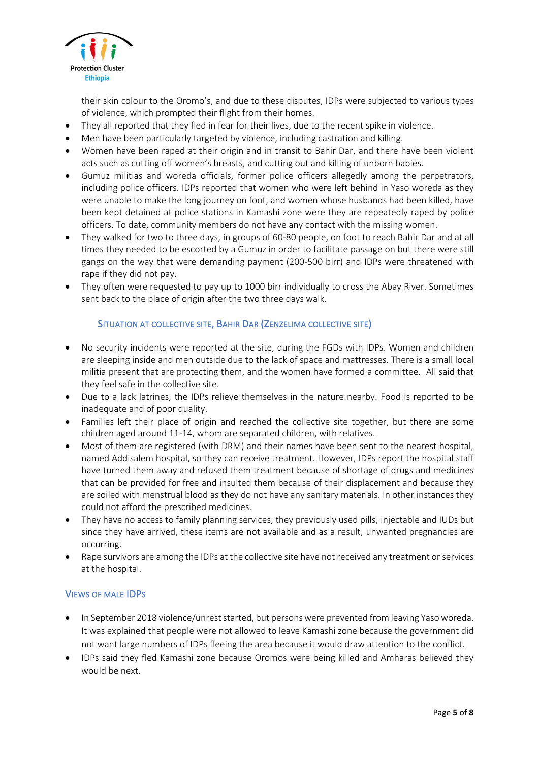

their skin colour to the Oromo's, and due to these disputes, IDPs were subjected to various types of violence, which prompted their flight from their homes.

- They all reported that they fled in fear for their lives, due to the recent spike in violence.
- Men have been particularly targeted by violence, including castration and killing.
- Women have been raped at their origin and in transit to Bahir Dar, and there have been violent acts such as cutting off women's breasts, and cutting out and killing of unborn babies.
- Gumuz militias and woreda officials, former police officers allegedly among the perpetrators, including police officers. IDPs reported that women who were left behind in Yaso woreda as they were unable to make the long journey on foot, and women whose husbands had been killed, have been kept detained at police stations in Kamashi zone were they are repeatedly raped by police officers. To date, community members do not have any contact with the missing women.
- They walked for two to three days, in groups of 60-80 people, on foot to reach Bahir Dar and at all times they needed to be escorted by a Gumuz in order to facilitate passage on but there were still gangs on the way that were demanding payment (200-500 birr) and IDPs were threatened with rape if they did not pay.
- They often were requested to pay up to 1000 birr individually to cross the Abay River. Sometimes sent back to the place of origin after the two three days walk.

# SITUATION AT COLLECTIVE SITE, BAHIR DAR (ZENZELIMA COLLECTIVE SITE)

- No security incidents were reported at the site, during the FGDs with IDPs. Women and children are sleeping inside and men outside due to the lack of space and mattresses. There is a small local militia present that are protecting them, and the women have formed a committee. All said that they feel safe in the collective site.
- Due to a lack latrines, the IDPs relieve themselves in the nature nearby. Food is reported to be inadequate and of poor quality.
- Families left their place of origin and reached the collective site together, but there are some children aged around 11-14, whom are separated children, with relatives.
- Most of them are registered (with DRM) and their names have been sent to the nearest hospital, named Addisalem hospital, so they can receive treatment. However, IDPs report the hospital staff have turned them away and refused them treatment because of shortage of drugs and medicines that can be provided for free and insulted them because of their displacement and because they are soiled with menstrual blood as they do not have any sanitary materials. In other instances they could not afford the prescribed medicines.
- They have no access to family planning services, they previously used pills, injectable and IUDs but since they have arrived, these items are not available and as a result, unwanted pregnancies are occurring.
- Rape survivors are among the IDPs at the collective site have not received any treatment or services at the hospital.

### VIEWS OF MALE IDPS

- In September 2018 violence/unrest started, but persons were prevented from leaving Yaso woreda. It was explained that people were not allowed to leave Kamashi zone because the government did not want large numbers of IDPs fleeing the area because it would draw attention to the conflict.
- IDPs said they fled Kamashi zone because Oromos were being killed and Amharas believed they would be next.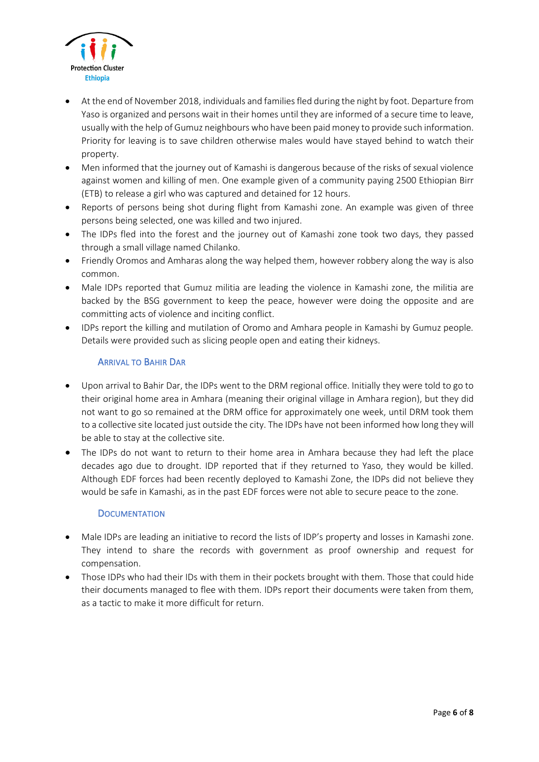

- At the end of November 2018, individuals and families fled during the night by foot. Departure from Yaso is organized and persons wait in their homes until they are informed of a secure time to leave, usually with the help of Gumuz neighbours who have been paid money to provide such information. Priority for leaving is to save children otherwise males would have stayed behind to watch their property.
- Men informed that the journey out of Kamashi is dangerous because of the risks of sexual violence against women and killing of men. One example given of a community paying 2500 Ethiopian Birr (ETB) to release a girl who was captured and detained for 12 hours.
- Reports of persons being shot during flight from Kamashi zone. An example was given of three persons being selected, one was killed and two injured.
- The IDPs fled into the forest and the journey out of Kamashi zone took two days, they passed through a small village named Chilanko.
- Friendly Oromos and Amharas along the way helped them, however robbery along the way is also common.
- Male IDPs reported that Gumuz militia are leading the violence in Kamashi zone, the militia are backed by the BSG government to keep the peace, however were doing the opposite and are committing acts of violence and inciting conflict.
- IDPs report the killing and mutilation of Oromo and Amhara people in Kamashi by Gumuz people. Details were provided such as slicing people open and eating their kidneys.

# ARRIVAL TO BAHIR DAR

- Upon arrival to Bahir Dar, the IDPs went to the DRM regional office. Initially they were told to go to their original home area in Amhara (meaning their original village in Amhara region), but they did not want to go so remained at the DRM office for approximately one week, until DRM took them to a collective site located just outside the city. The IDPs have not been informed how long they will be able to stay at the collective site.
- The IDPs do not want to return to their home area in Amhara because they had left the place decades ago due to drought. IDP reported that if they returned to Yaso, they would be killed. Although EDF forces had been recently deployed to Kamashi Zone, the IDPs did not believe they would be safe in Kamashi, as in the past EDF forces were not able to secure peace to the zone.

### **DOCUMENTATION**

- Male IDPs are leading an initiative to record the lists of IDP's property and losses in Kamashi zone. They intend to share the records with government as proof ownership and request for compensation.
- Those IDPs who had their IDs with them in their pockets brought with them. Those that could hide their documents managed to flee with them. IDPs report their documents were taken from them, as a tactic to make it more difficult for return.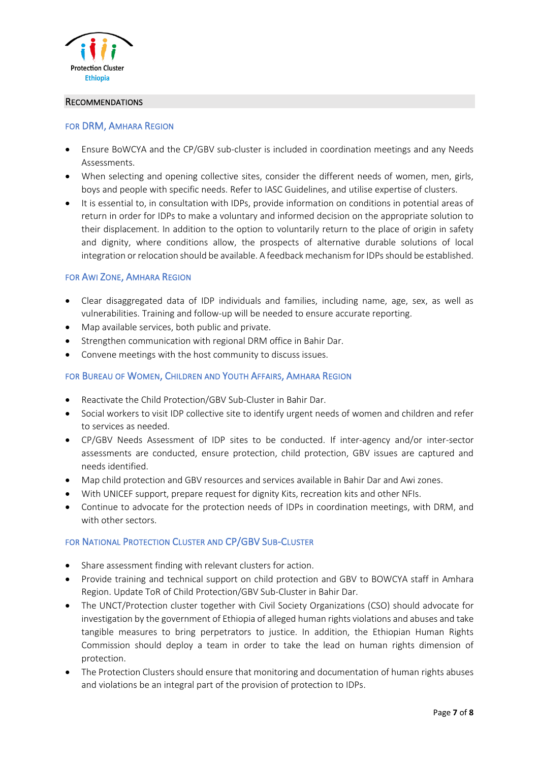

### RECOMMENDATIONS

#### FOR DRM, AMHARA REGION

- Ensure BoWCYA and the CP/GBV sub-cluster is included in coordination meetings and any Needs Assessments.
- When selecting and opening collective sites, consider the different needs of women, men, girls, boys and people with specific needs. Refer to IASC Guidelines, and utilise expertise of clusters.
- It is essential to, in consultation with IDPs, provide information on conditions in potential areas of return in order for IDPs to make a voluntary and informed decision on the appropriate solution to their displacement. In addition to the option to voluntarily return to the place of origin in safety and dignity, where conditions allow, the prospects of alternative durable solutions of local integration or relocation should be available. A feedback mechanism for IDPs should be established.

#### FOR AWI ZONE, AMHARA REGION

- Clear disaggregated data of IDP individuals and families, including name, age, sex, as well as vulnerabilities. Training and follow-up will be needed to ensure accurate reporting.
- Map available services, both public and private.
- Strengthen communication with regional DRM office in Bahir Dar.
- Convene meetings with the host community to discuss issues.

# FOR BUREAU OF WOMEN, CHILDREN AND YOUTH AFFAIRS, AMHARA REGION

- Reactivate the Child Protection/GBV Sub-Cluster in Bahir Dar.
- Social workers to visit IDP collective site to identify urgent needs of women and children and refer to services as needed.
- CP/GBV Needs Assessment of IDP sites to be conducted. If inter-agency and/or inter-sector assessments are conducted, ensure protection, child protection, GBV issues are captured and needs identified.
- Map child protection and GBV resources and services available in Bahir Dar and Awi zones.
- With UNICEF support, prepare request for dignity Kits, recreation kits and other NFIs.
- Continue to advocate for the protection needs of IDPs in coordination meetings, with DRM, and with other sectors.

# FOR NATIONAL PROTECTION CLUSTER AND CP/GBV SUB-CLUSTER

- Share assessment finding with relevant clusters for action.
- Provide training and technical support on child protection and GBV to BOWCYA staff in Amhara Region. Update ToR of Child Protection/GBV Sub-Cluster in Bahir Dar.
- The UNCT/Protection cluster together with Civil Society Organizations (CSO) should advocate for investigation by the government of Ethiopia of alleged human rights violations and abuses and take tangible measures to bring perpetrators to justice. In addition, the Ethiopian Human Rights Commission should deploy a team in order to take the lead on human rights dimension of protection.
- The Protection Clusters should ensure that monitoring and documentation of human rights abuses and violations be an integral part of the provision of protection to IDPs.